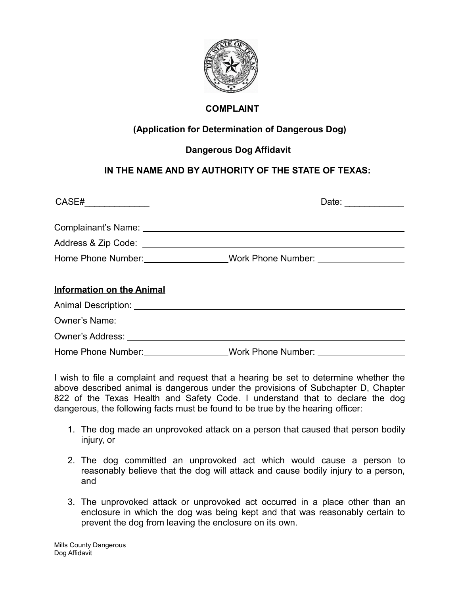

## **COMPLAINT**

## **(Application for Determination of Dangerous Dog)**

## **Dangerous Dog Affidavit**

## **IN THE NAME AND BY AUTHORITY OF THE STATE OF TEXAS:**

| CASE#_______________             | Date:                                                                            |
|----------------------------------|----------------------------------------------------------------------------------|
|                                  |                                                                                  |
|                                  | Home Phone Number:___________________Work Phone Number: ________________________ |
| <b>Information on the Animal</b> |                                                                                  |
|                                  |                                                                                  |
|                                  |                                                                                  |
|                                  |                                                                                  |

Home Phone Number: Work Phone Number:

I wish to file a complaint and request that a hearing be set to determine whether the above described animal is dangerous under the provisions of Subchapter D, Chapter 822 of the Texas Health and Safety Code. I understand that to declare the dog dangerous, the following facts must be found to be true by the hearing officer:

- 1. The dog made an unprovoked attack on a person that caused that person bodily injury, or
- 2. The dog committed an unprovoked act which would cause a person to reasonably believe that the dog will attack and cause bodily injury to a person, and
- 3. The unprovoked attack or unprovoked act occurred in a place other than an enclosure in which the dog was being kept and that was reasonably certain to prevent the dog from leaving the enclosure on its own.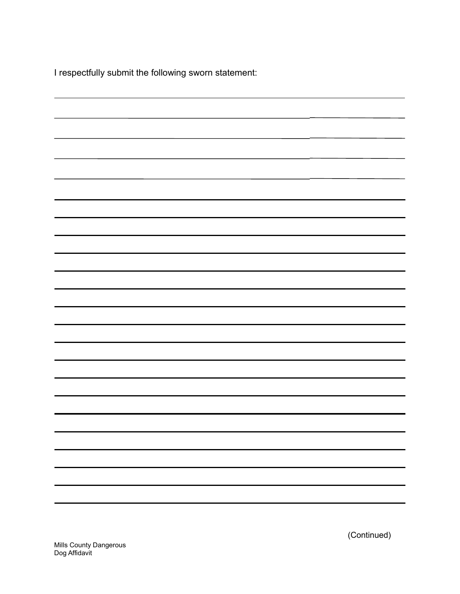I respectfully submit the following sworn statement:

(Continued)